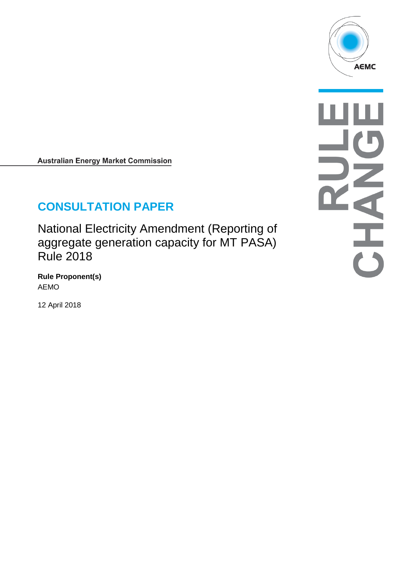

**Australian Energy Market Commission** 

# **CONSULTATION PAPER**

National Electricity Amendment (Reporting of aggregate generation capacity for MT PASA) Rule 2018

**Rule Proponent(s)** AEMO

12 April 2018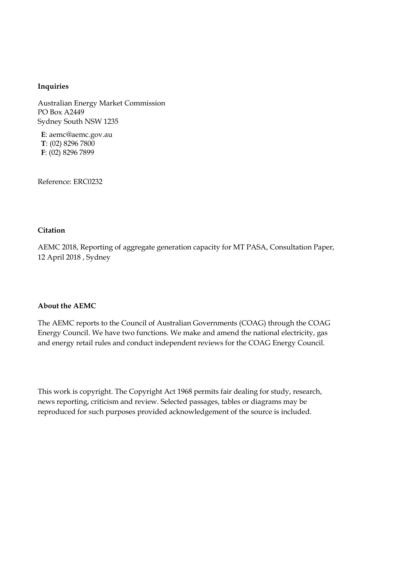#### **Inquiries**

Australian Energy Market Commission PO Box A2449 Sydney South NSW 1235

**E**: aemc@aemc.gov.au **T**: (02) 8296 7800 **F**: (02) 8296 7899

Reference: ERC0232

#### **Citation**

AEMC 2018, Reporting of aggregate generation capacity for MT PASA, Consultation Paper, 12 April 2018 , Sydney

#### **About the AEMC**

The AEMC reports to the Council of Australian Governments (COAG) through the COAG Energy Council. We have two functions. We make and amend the national electricity, gas and energy retail rules and conduct independent reviews for the COAG Energy Council.

This work is copyright. The Copyright Act 1968 permits fair dealing for study, research, news reporting, criticism and review. Selected passages, tables or diagrams may be reproduced for such purposes provided acknowledgement of the source is included.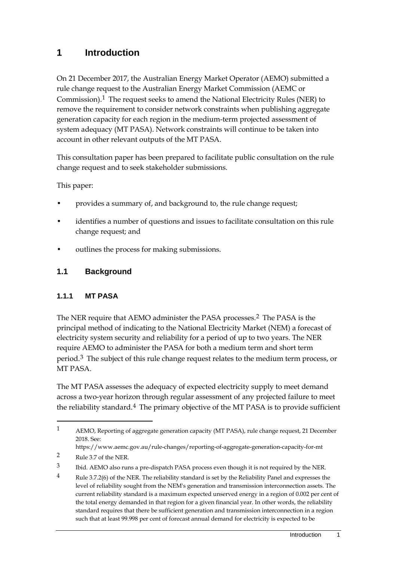## **1 Introduction**

On 21 December 2017, the Australian Energy Market Operator (AEMO) submitted a rule change request to the Australian Energy Market Commission (AEMC or Commission).[1](#page-2-0) The request seeks to amend the National Electricity Rules (NER) to remove the requirement to consider network constraints when publishing aggregate generation capacity for each region in the medium-term projected assessment of system adequacy (MT PASA). Network constraints will continue to be taken into account in other relevant outputs of the MT PASA.

This consultation paper has been prepared to facilitate public consultation on the rule change request and to seek stakeholder submissions.

This paper:

- provides a summary of, and background to, the rule change request;
- identifies a number of questions and issues to facilitate consultation on this rule change request; and
- outlines the process for making submissions.

### **1.1 Background**

#### **1.1.1 MT PASA**

The NER require that AEMO administer the PASA processes.[2](#page-2-1) The PASA is the principal method of indicating to the National Electricity Market (NEM) a forecast of electricity system security and reliability for a period of up to two years. The NER require AEMO to administer the PASA for both a medium term and short term period.<sup>[3](#page-2-2)</sup> The subject of this rule change request relates to the medium term process, or MT PASA.

The MT PASA assesses the adequacy of expected electricity supply to meet demand across a two-year horizon through regular assessment of any projected failure to meet the reliability standard.[4](#page-2-3) The primary objective of the MT PASA is to provide sufficient

<span id="page-2-0"></span><sup>1</sup> AEMO, Reporting of aggregate generation capacity (MT PASA), rule change request, 21 December 2018. See:

https://www.aemc.gov.au/rule-changes/reporting-of-aggregate-generation-capacity-for-mt

<span id="page-2-1"></span><sup>2</sup> Rule 3.7 of the NER.

<span id="page-2-2"></span><sup>3</sup> Ibid. AEMO also runs a pre-dispatch PASA process even though it is not required by the NER.

<span id="page-2-3"></span><sup>4</sup> Rule 3.7.2(6) of the NER. The reliability standard is set by the Reliability Panel and expresses the level of reliability sought from the NEM's generation and transmission interconnection assets. The current reliability standard is a maximum expected unserved energy in a region of 0.002 per cent of the total energy demanded in that region for a given financial year. In other words, the reliability standard requires that there be sufficient generation and transmission interconnection in a region such that at least 99.998 per cent of forecast annual demand for electricity is expected to be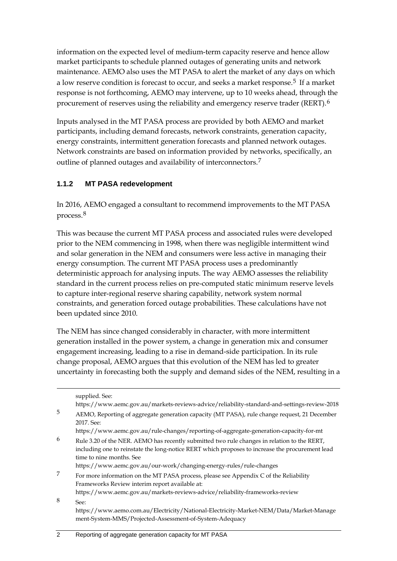information on the expected level of medium-term capacity reserve and hence allow market participants to schedule planned outages of generating units and network maintenance. AEMO also uses the MT PASA to alert the market of any days on which a low reserve condition is forecast to occur, and seeks a market response.[5](#page-3-0) If a market response is not forthcoming, AEMO may intervene, up to 10 weeks ahead, through the procurement of reserves using the reliability and emergency reserve trader (RERT).<sup>[6](#page-3-1)</sup>

Inputs analysed in the MT PASA process are provided by both AEMO and market participants, including demand forecasts, network constraints, generation capacity, energy constraints, intermittent generation forecasts and planned network outages. Network constraints are based on information provided by networks, specifically, an outline of planned outages and availability of interconnectors.<sup>[7](#page-3-2)</sup>

### **1.1.2 MT PASA redevelopment**

In 2016, AEMO engaged a consultant to recommend improvements to the MT PASA process.[8](#page-3-3)

This was because the current MT PASA process and associated rules were developed prior to the NEM commencing in 1998, when there was negligible intermittent wind and solar generation in the NEM and consumers were less active in managing their energy consumption. The current MT PASA process uses a predominantly deterministic approach for analysing inputs. The way AEMO assesses the reliability standard in the current process relies on pre-computed static minimum reserve levels to capture inter-regional reserve sharing capability, network system normal constraints, and generation forced outage probabilities. These calculations have not been updated since 2010.

The NEM has since changed considerably in character, with more intermittent generation installed in the power system, a change in generation mix and consumer engagement increasing, leading to a rise in demand-side participation. In its rule change proposal, AEMO argues that this evolution of the NEM has led to greater uncertainty in forecasting both the supply and demand sides of the NEM, resulting in a

<span id="page-3-3"></span><span id="page-3-2"></span><span id="page-3-1"></span><span id="page-3-0"></span>supplied. See: https://www.aemc.gov.au/markets-reviews-advice/reliability-standard-and-settings-review-2018 5 AEMO, Reporting of aggregate generation capacity (MT PASA), rule change request, 21 December 2017. See: https://www.aemc.gov.au/rule-changes/reporting-of-aggregate-generation-capacity-for-mt  $6$  Rule 3.20 of the NER. AEMO has recently submitted two rule changes in relation to the RERT, including one to reinstate the long-notice RERT which proposes to increase the procurement lead time to nine months. See https://www.aemc.gov.au/our-work/changing-energy-rules/rule-changes 7 For more information on the MT PASA process, please see Appendix C of the Reliability Frameworks Review interim report available at: https://www.aemc.gov.au/markets-reviews-advice/reliability-frameworks-review 8 See: https://www.aemo.com.au/Electricity/National-Electricity-Market-NEM/Data/Market-Manage ment-System-MMS/Projected-Assessment-of-System-Adequacy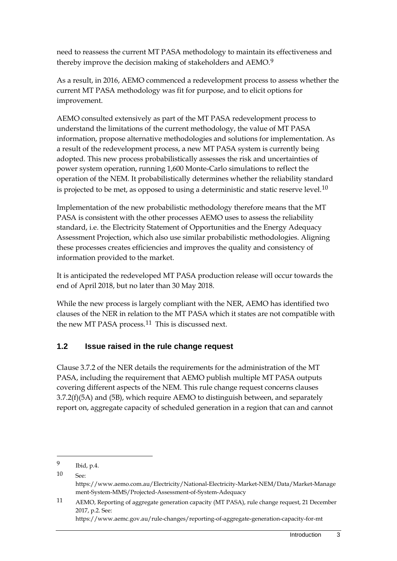need to reassess the current MT PASA methodology to maintain its effectiveness and thereby improve the decision making of stakeholders and AEMO.[9](#page-4-0)

As a result, in 2016, AEMO commenced a redevelopment process to assess whether the current MT PASA methodology was fit for purpose, and to elicit options for improvement.

AEMO consulted extensively as part of the MT PASA redevelopment process to understand the limitations of the current methodology, the value of MT PASA information, propose alternative methodologies and solutions for implementation. As a result of the redevelopment process, a new MT PASA system is currently being adopted. This new process probabilistically assesses the risk and uncertainties of power system operation, running 1,600 Monte-Carlo simulations to reflect the operation of the NEM. It probabilistically determines whether the reliability standard is projected to be met, as opposed to using a deterministic and static reserve level.<sup>[10](#page-4-1)</sup>

Implementation of the new probabilistic methodology therefore means that the MT PASA is consistent with the other processes AEMO uses to assess the reliability standard, i.e. the Electricity Statement of Opportunities and the Energy Adequacy Assessment Projection, which also use similar probabilistic methodologies. Aligning these processes creates efficiencies and improves the quality and consistency of information provided to the market.

It is anticipated the redeveloped MT PASA production release will occur towards the end of April 2018, but no later than 30 May 2018.

While the new process is largely compliant with the NER, AEMO has identified two clauses of the NER in relation to the MT PASA which it states are not compatible with the new MT PASA process.<sup>[11](#page-4-2)</sup> This is discussed next.

### **1.2 Issue raised in the rule change request**

Clause 3.7.2 of the NER details the requirements for the administration of the MT PASA, including the requirement that AEMO publish multiple MT PASA outputs covering different aspects of the NEM. This rule change request concerns clauses 3.7.2(f)(5A) and (5B), which require AEMO to distinguish between, and separately report on, aggregate capacity of scheduled generation in a region that can and cannot

-

Introduction 3

<span id="page-4-0"></span><sup>9</sup> Ibid, p.4.

<span id="page-4-1"></span> $10 \qquad \text{See}$ 

https://www.aemo.com.au/Electricity/National-Electricity-Market-NEM/Data/Market-Manage ment-System-MMS/Projected-Assessment-of-System-Adequacy

<span id="page-4-2"></span><sup>11</sup> AEMO, Reporting of aggregate generation capacity (MT PASA), rule change request, 21 December 2017, p.2. See: https://www.aemc.gov.au/rule-changes/reporting-of-aggregate-generation-capacity-for-mt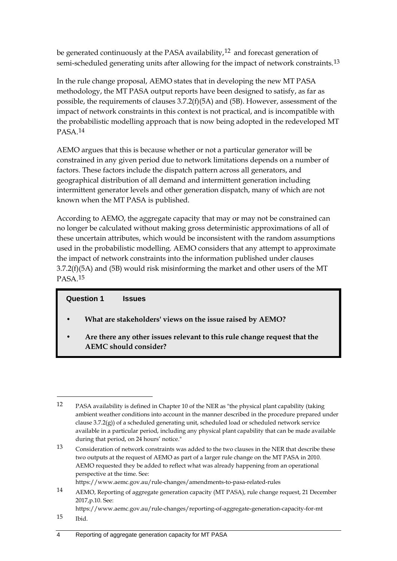be generated continuously at the PASA availability,<sup>[12](#page-5-0)</sup> and forecast generation of semi-scheduled generating units after allowing for the impact of network constraints.<sup>[13](#page-5-1)</sup>

In the rule change proposal, AEMO states that in developing the new MT PASA methodology, the MT PASA output reports have been designed to satisfy, as far as possible, the requirements of clauses 3.7.2(f)(5A) and (5B). However, assessment of the impact of network constraints in this context is not practical, and is incompatible with the probabilistic modelling approach that is now being adopted in the redeveloped MT PASA.[14](#page-5-2)

AEMO argues that this is because whether or not a particular generator will be constrained in any given period due to network limitations depends on a number of factors. These factors include the dispatch pattern across all generators, and geographical distribution of all demand and intermittent generation including intermittent generator levels and other generation dispatch, many of which are not known when the MT PASA is published.

According to AEMO, the aggregate capacity that may or may not be constrained can no longer be calculated without making gross deterministic approximations of all of these uncertain attributes, which would be inconsistent with the random assumptions used in the probabilistic modelling. AEMO considers that any attempt to approximate the impact of network constraints into the information published under clauses 3.7.2(f)(5A) and (5B) would risk misinforming the market and other users of the MT PASA.[15](#page-5-3)

#### **Question 1 Issues**

- **• What are stakeholders' views on the issue raised by AEMO?**
- **• Are there any other issues relevant to this rule change request that the AEMC should consider?**

https://www.aemc.gov.au/rule-changes/amendments-to-pasa-related-rules

<span id="page-5-3"></span>15 Ibid.

<span id="page-5-0"></span><sup>-</sup>12 PASA availability is defined in Chapter 10 of the NER as "the physical plant capability (taking ambient weather conditions into account in the manner described in the procedure prepared under clause 3.7.2(g)) of a scheduled generating unit, scheduled load or scheduled network service available in a particular period, including any physical plant capability that can be made available during that period, on 24 hours' notice."

<span id="page-5-1"></span><sup>13</sup> Consideration of network constraints was added to the two clauses in the NER that describe these two outputs at the request of AEMO as part of a larger rule change on the MT PASA in 2010. AEMO requested they be added to reflect what was already happening from an operational perspective at the time. See:

<span id="page-5-2"></span><sup>14</sup> AEMO, Reporting of aggregate generation capacity (MT PASA), rule change request, 21 December 2017,p.10. See:

https://www.aemc.gov.au/rule-changes/reporting-of-aggregate-generation-capacity-for-mt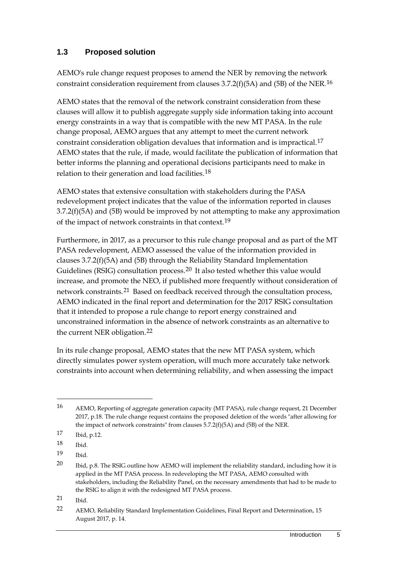### **1.3 Proposed solution**

AEMO's rule change request proposes to amend the NER by removing the network constraint consideration requirement from clauses 3.7.2(f)(5A) and (5B) of the NER.[16](#page-6-0)

AEMO states that the removal of the network constraint consideration from these clauses will allow it to publish aggregate supply side information taking into account energy constraints in a way that is compatible with the new MT PASA. In the rule change proposal, AEMO argues that any attempt to meet the current network constraint consideration obligation devalues that information and is impractical.[17](#page-6-1) AEMO states that the rule, if made, would facilitate the publication of information that better informs the planning and operational decisions participants need to make in relation to their generation and load facilities.[18](#page-6-2)

AEMO states that extensive consultation with stakeholders during the PASA redevelopment project indicates that the value of the information reported in clauses 3.7.2(f)(5A) and (5B) would be improved by not attempting to make any approximation of the impact of network constraints in that context.[19](#page-6-3)

Furthermore, in 2017, as a precursor to this rule change proposal and as part of the MT PASA redevelopment, AEMO assessed the value of the information provided in clauses 3.7.2(f)(5A) and (5B) through the Reliability Standard Implementation Guidelines (RSIG) consultation process.<sup>[20](#page-6-4)</sup> It also tested whether this value would increase, and promote the NEO, if published more frequently without consideration of network constraints.[21](#page-6-5) Based on feedback received through the consultation process, AEMO indicated in the final report and determination for the 2017 RSIG consultation that it intended to propose a rule change to report energy constrained and unconstrained information in the absence of network constraints as an alternative to the current NER obligation.[22](#page-6-6)

In its rule change proposal, AEMO states that the new MT PASA system, which directly simulates power system operation, will much more accurately take network constraints into account when determining reliability, and when assessing the impact

-

<span id="page-6-3"></span>19 Ibid.

<span id="page-6-5"></span>21 Ibid.

<span id="page-6-0"></span><sup>16</sup> AEMO, Reporting of aggregate generation capacity (MT PASA), rule change request, 21 December 2017, p.18. The rule change request contains the proposed deletion of the words "after allowing for the impact of network constraints" from clauses 5.7.2(f)(5A) and (5B) of the NER.

<span id="page-6-1"></span><sup>17</sup> Ibid, p.12.

<span id="page-6-2"></span><sup>18</sup> Ibid.

<span id="page-6-4"></span><sup>20</sup> Ibid, p.8. The RSIG outline how AEMO will implement the reliability standard, including how it is applied in the MT PASA process. In redeveloping the MT PASA, AEMO consulted with stakeholders, including the Reliability Panel, on the necessary amendments that had to be made to the RSIG to align it with the redesigned MT PASA process.

<span id="page-6-6"></span><sup>22</sup> AEMO, Reliability Standard Implementation Guidelines, Final Report and Determination, 15 August 2017, p. 14.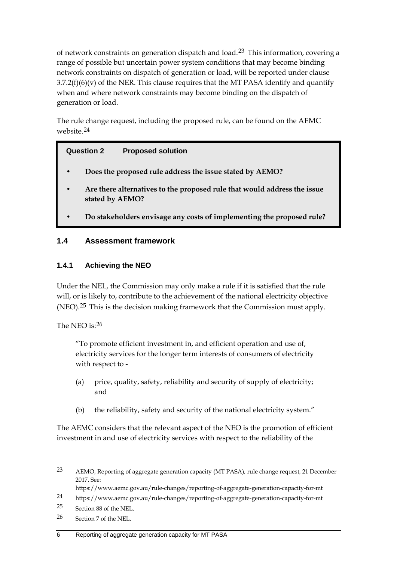of network constraints on generation dispatch and load.[23](#page-7-0) This information, covering a range of possible but uncertain power system conditions that may become binding network constraints on dispatch of generation or load, will be reported under clause  $3.7.2(f)(6)(v)$  of the NER. This clause requires that the MT PASA identify and quantify when and where network constraints may become binding on the dispatch of generation or load.

The rule change request, including the proposed rule, can be found on the AEMC website.[24](#page-7-1)

### **Question 2 Proposed solution**

- **• Does the proposed rule address the issue stated by AEMO?**
- **• Are there alternatives to the proposed rule that would address the issue stated by AEMO?**
- **• Do stakeholders envisage any costs of implementing the proposed rule?**

### **1.4 Assessment framework**

#### **1.4.1 Achieving the NEO**

Under the NEL, the Commission may only make a rule if it is satisfied that the rule will, or is likely to, contribute to the achievement of the national electricity objective (NEO).<sup>[25](#page-7-2)</sup> This is the decision making framework that the Commission must apply.

The NEO is:[26](#page-7-3)

"To promote efficient investment in, and efficient operation and use of, electricity services for the longer term interests of consumers of electricity with respect to -

- (a) price, quality, safety, reliability and security of supply of electricity; and
- (b) the reliability, safety and security of the national electricity system."

The AEMC considers that the relevant aspect of the NEO is the promotion of efficient investment in and use of electricity services with respect to the reliability of the

<span id="page-7-0"></span><sup>23</sup> AEMO, Reporting of aggregate generation capacity (MT PASA), rule change request, 21 December 2017. See:

https://www.aemc.gov.au/rule-changes/reporting-of-aggregate-generation-capacity-for-mt

<span id="page-7-1"></span><sup>24</sup> https://www.aemc.gov.au/rule-changes/reporting-of-aggregate-generation-capacity-for-mt

<span id="page-7-2"></span><sup>25</sup> Section 88 of the NEL.

<span id="page-7-3"></span><sup>26</sup> Section 7 of the NEL.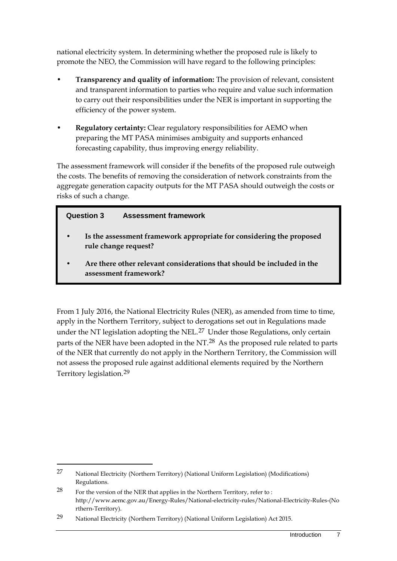national electricity system. In determining whether the proposed rule is likely to promote the NEO, the Commission will have regard to the following principles:

- **Transparency and quality of information:** The provision of relevant, consistent and transparent information to parties who require and value such information to carry out their responsibilities under the NER is important in supporting the efficiency of the power system.
- **Regulatory certainty:** Clear regulatory responsibilities for AEMO when preparing the MT PASA minimises ambiguity and supports enhanced forecasting capability, thus improving energy reliability.

The assessment framework will consider if the benefits of the proposed rule outweigh the costs. The benefits of removing the consideration of network constraints from the aggregate generation capacity outputs for the MT PASA should outweigh the costs or risks of such a change.

### **Question 3 Assessment framework**

- **• Is the assessment framework appropriate for considering the proposed rule change request?**
- **• Are there other relevant considerations that should be included in the assessment framework?**

From 1 July 2016, the National Electricity Rules (NER), as amended from time to time, apply in the Northern Territory, subject to derogations set out in Regulations made under the NT legislation adopting the NEL.<sup>[27](#page-8-0)</sup> Under those Regulations, only certain parts of the NER have been adopted in the NT.<sup>[28](#page-8-1)</sup> As the proposed rule related to parts of the NER that currently do not apply in the Northern Territory, the Commission will not assess the proposed rule against additional elements required by the Northern Territory legislation.[29](#page-8-2)

<span id="page-8-0"></span><sup>27</sup> National Electricity (Northern Territory) (National Uniform Legislation) (Modifications) Regulations.

<span id="page-8-1"></span> $28$  For the version of the NER that applies in the Northern Territory, refer to : http://www.aemc.gov.au/Energy-Rules/National-electricity-rules/National-Electricity-Rules-(No rthern-Territory).

<span id="page-8-2"></span><sup>29</sup> National Electricity (Northern Territory) (National Uniform Legislation) Act 2015.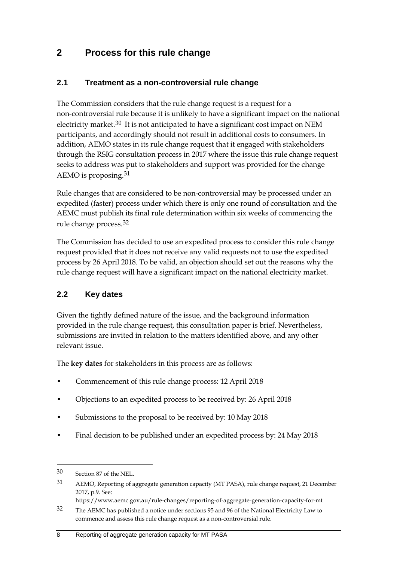# **2 Process for this rule change**

### **2.1 Treatment as a non-controversial rule change**

The Commission considers that the rule change request is a request for a non-controversial rule because it is unlikely to have a significant impact on the national electricity market.<sup>[30](#page-9-0)</sup> It is not anticipated to have a significant cost impact on NEM participants, and accordingly should not result in additional costs to consumers. In addition, AEMO states in its rule change request that it engaged with stakeholders through the RSIG consultation process in 2017 where the issue this rule change request seeks to address was put to stakeholders and support was provided for the change AEMO is proposing.[31](#page-9-1)

Rule changes that are considered to be non-controversial may be processed under an expedited (faster) process under which there is only one round of consultation and the AEMC must publish its final rule determination within six weeks of commencing the rule change process.[32](#page-9-2)

The Commission has decided to use an expedited process to consider this rule change request provided that it does not receive any valid requests not to use the expedited process by 26 April 2018. To be valid, an objection should set out the reasons why the rule change request will have a significant impact on the national electricity market.

### **2.2 Key dates**

Given the tightly defined nature of the issue, and the background information provided in the rule change request, this consultation paper is brief. Nevertheless, submissions are invited in relation to the matters identified above, and any other relevant issue.

The **key dates** for stakeholders in this process are as follows:

- Commencement of this rule change process: 12 April 2018
- Objections to an expedited process to be received by: 26 April 2018
- Submissions to the proposal to be received by: 10 May 2018
- Final decision to be published under an expedited process by: 24 May 2018

<span id="page-9-0"></span><sup>30</sup> Section 87 of the NEL.

<span id="page-9-1"></span><sup>31</sup> AEMO, Reporting of aggregate generation capacity (MT PASA), rule change request, 21 December 2017, p.9. See:

https://www.aemc.gov.au/rule-changes/reporting-of-aggregate-generation-capacity-for-mt

<span id="page-9-2"></span><sup>32</sup> The AEMC has published a notice under sections 95 and 96 of the National Electricity Law to commence and assess this rule change request as a non-controversial rule.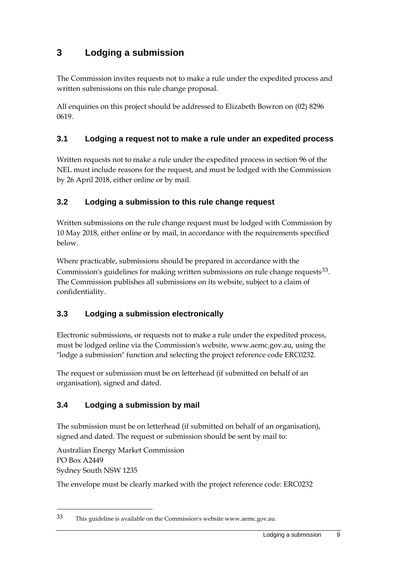# **3 Lodging a submission**

The Commission invites requests not to make a rule under the expedited process and written submissions on this rule change proposal.

All enquiries on this project should be addressed to Elizabeth Bowron on (02) 8296 0619.

### **3.1 Lodging a request not to make a rule under an expedited process**

Written requests not to make a rule under the expedited process in section 96 of the NEL must include reasons for the request, and must be lodged with the Commission by 26 April 2018, either online or by mail.

### **3.2 Lodging a submission to this rule change request**

Written submissions on the rule change request must be lodged with Commission by 10 May 2018, either online or by mail, in accordance with the requirements specified below.

Where practicable, submissions should be prepared in accordance with the Commission's guidelines for making written submissions on rule change requests  $33$ . The Commission publishes all submissions on its website, subject to a claim of confidentiality.

### **3.3 Lodging a submission electronically**

Electronic submissions, or requests not to make a rule under the expedited process, must be lodged online via the Commission's website, www.aemc.gov.au, using the "lodge a submission" function and selecting the project reference code ERC0232.

The request or submission must be on letterhead (if submitted on behalf of an organisation), signed and dated.

### **3.4 Lodging a submission by mail**

The submission must be on letterhead (if submitted on behalf of an organisation), signed and dated. The request or submission should be sent by mail to:

Australian Energy Market Commission PO Box A2449 Sydney South NSW 1235

-

The envelope must be clearly marked with the project reference code: ERC0232

<span id="page-10-0"></span><sup>33</sup> This guideline is available on the Commission's website www.aemc.gov.au.